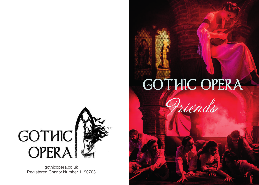## **GOTHIC OPERA**

Priends



gothicopera.co.uk Registered Charity Number 1190703